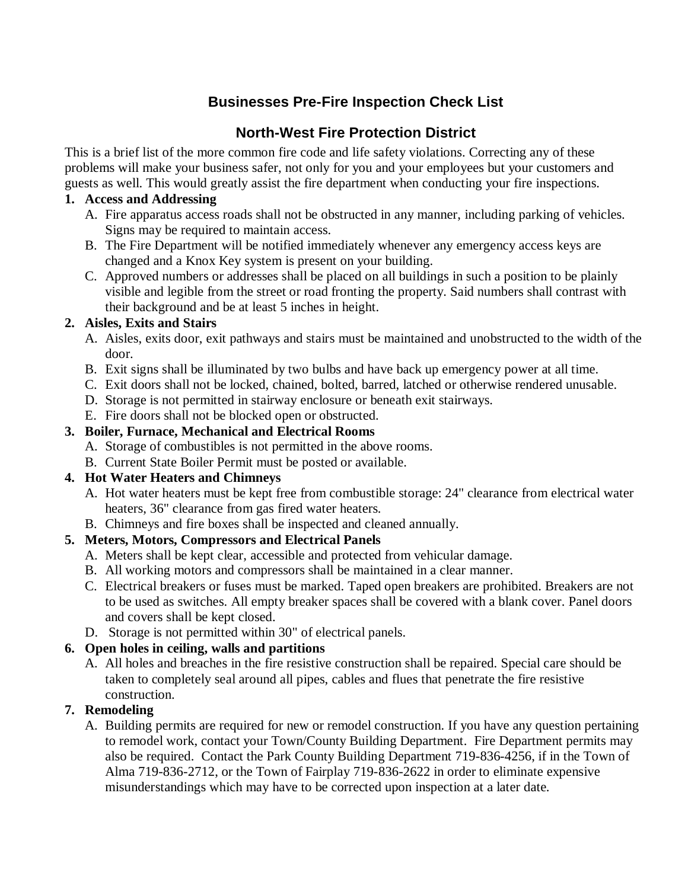# **Businesses Pre-Fire Inspection Check List**

# **North-West Fire Protection District**

This is a brief list of the more common fire code and life safety violations. Correcting any of these problems will make your business safer, not only for you and your employees but your customers and guests as well. This would greatly assist the fire department when conducting your fire inspections.

#### **1. Access and Addressing**

- A. Fire apparatus access roads shall not be obstructed in any manner, including parking of vehicles. Signs may be required to maintain access.
- B. The Fire Department will be notified immediately whenever any emergency access keys are changed and a Knox Key system is present on your building.
- C. Approved numbers or addresses shall be placed on all buildings in such a position to be plainly visible and legible from the street or road fronting the property. Said numbers shall contrast with their background and be at least 5 inches in height.

#### **2. Aisles, Exits and Stairs**

- A. Aisles, exits door, exit pathways and stairs must be maintained and unobstructed to the width of the door.
- B. Exit signs shall be illuminated by two bulbs and have back up emergency power at all time.
- C. Exit doors shall not be locked, chained, bolted, barred, latched or otherwise rendered unusable.
- D. Storage is not permitted in stairway enclosure or beneath exit stairways.
- E. Fire doors shall not be blocked open or obstructed.

#### **3. Boiler, Furnace, Mechanical and Electrical Rooms**

- A. Storage of combustibles is not permitted in the above rooms.
- B. Current State Boiler Permit must be posted or available.

## **4. Hot Water Heaters and Chimneys**

- A. Hot water heaters must be kept free from combustible storage: 24" clearance from electrical water heaters, 36" clearance from gas fired water heaters.
- B. Chimneys and fire boxes shall be inspected and cleaned annually.

## **5. Meters, Motors, Compressors and Electrical Panels**

- A. Meters shall be kept clear, accessible and protected from vehicular damage.
- B. All working motors and compressors shall be maintained in a clear manner.
- C. Electrical breakers or fuses must be marked. Taped open breakers are prohibited. Breakers are not to be used as switches. All empty breaker spaces shall be covered with a blank cover. Panel doors and covers shall be kept closed.
- D. Storage is not permitted within 30" of electrical panels.

## **6. Open holes in ceiling, walls and partitions**

A. All holes and breaches in the fire resistive construction shall be repaired. Special care should be taken to completely seal around all pipes, cables and flues that penetrate the fire resistive construction.

## **7. Remodeling**

A. Building permits are required for new or remodel construction. If you have any question pertaining to remodel work, contact your Town/County Building Department. Fire Department permits may also be required. Contact the Park County Building Department 719-836-4256, if in the Town of Alma 719-836-2712, or the Town of Fairplay 719-836-2622 in order to eliminate expensive misunderstandings which may have to be corrected upon inspection at a later date.